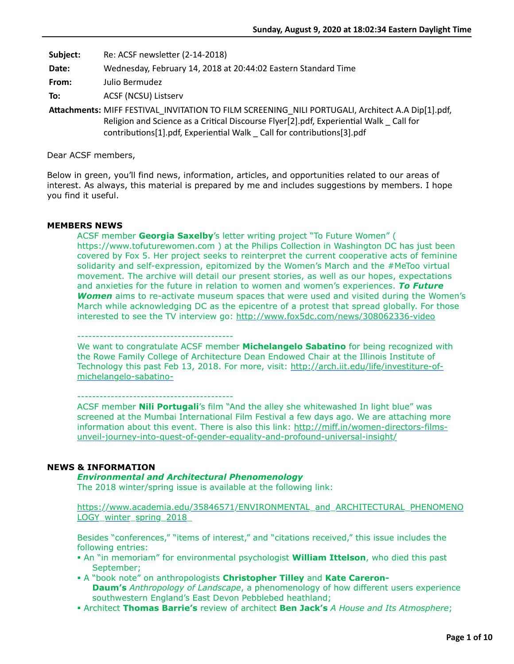**Subject:** Re: ACSF newsletter (2-14-2018)

**Date:** Wednesday, February 14, 2018 at 20:44:02 Eastern Standard Time

**From:** Julio Bermudez

**To:** ACSF (NCSU) Listserv

**AEachments:** MIFF FESTIVAL\_INVITATION TO FILM SCREENING\_NILI PORTUGALI, Architect A.A Dip[1].pdf, Religion and Science as a Critical Discourse Flyer[2].pdf, Experiential Walk Call for  $contributions[1].pdf$ , Experiential Walk  $Cal$  for contributions[3].pdf

Dear ACSF members,

Below in green, you'll find news, information, articles, and opportunities related to our areas of interest. As always, this material is prepared by me and includes suggestions by members. I hope you find it useful.

## **MEMBERS NEWS**

ACSF member **Georgia Saxelby**'s letter writing project "To Future Women" ( https://www.tofuturewomen.com ) at the Philips Collection in Washington DC has just been covered by Fox 5. Her project seeks to reinterpret the current cooperative acts of feminine solidarity and self-expression, epitomized by the Women's March and the #MeToo virtual movement. The archive will detail our present stories, as well as our hopes, expectations and anxieties for the future in relation to women and women's experiences. *To Future Women* aims to re-activate museum spaces that were used and visited during the Women's March while acknowledging DC as the epicentre of a protest that spread globally. For those interested to see the TV interview go: <http://www.fox5dc.com/news/308062336-video>

------------------------------------------

We want to congratulate ACSF member **Michelangelo Sabatino** for being recognized with the Rowe Family College of Architecture Dean Endowed Chair at the Illinois Institute of [Technology this past Feb 13, 2018. For more, visit: http://arch.iit.edu/life/investiture-of](http://arch.iit.edu/life/investiture-of-michelangelo-sabatino-)michelangelo-sabatino-

------------------------------------------

ACSF member **Nili Portugali**'s film "And the alley she whitewashed In light blue" was screened at the Mumbai International Film Festival a few days ago. We are attaching more [information about this event. There is also this link: http://miff.in/women-directors-films](http://miff.in/women-directors-films-unveil-journey-into-quest-of-gender-equality-and-profound-universal-insight/)unveil-journey-into-quest-of-gender-equality-and-profound-universal-insight/

## **NEWS & INFORMATION**

## *Environmental and Architectural Phenomenology*

The 2018 winter/spring issue is available at the following link:

[https://www.academia.edu/35846571/ENVIRONMENTAL\\_and\\_ARCHITECTURAL\\_PHENOMENO](https://www.academia.edu/35846571/ENVIRONMENTAL_and_ARCHITECTURAL_PHENOMENOLOGY_winter_spring_2018_) LOGY winter\_spring\_2018

Besides "conferences," "items of interest," and "citations received," this issue includes the following entries:

- ! An "in memoriam" for environmental psychologist **William Ittelson**, who died this past September;
- ! A "book note" on anthropologists **Christopher Tilley** and **Kate Careron-Daum's** *Anthropology of Landscape*, a phenomenology of how different users experience southwestern England's East Devon Pebblebed heathland;
- ! Architect **Thomas Barrie's** review of architect **Ben Jack's** *A House and Its Atmosphere*;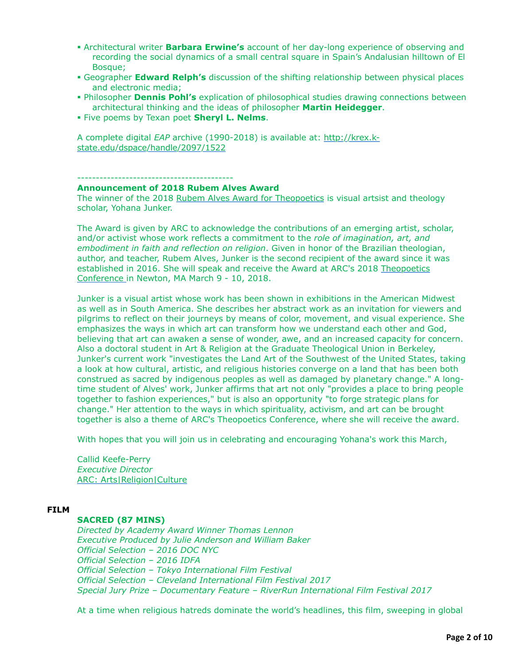- ! Architectural writer **Barbara Erwine's** account of her day-long experience of observing and recording the social dynamics of a small central square in Spain's Andalusian hilltown of El Bosque;
- ! Geographer **Edward Relph's** discussion of the shifting relationship between physical places and electronic media;
- ! Philosopher **Dennis Pohl's** explication of philosophical studies drawing connections between architectural thinking and the ideas of philosopher **Martin Heidegger**.
- ! Five poems by Texan poet **Sheryl L. Nelms**.

A complete digital *EAP* archive (1990-2018) is available at: http://krex.k[state.edu/dspace/handle/2097/1522](http://krex.k-state.edu/dspace/handle/2097/1522)

------------------------------------------

### **Announcement of 2018 Rubem Alves Award**

The winner of the 2018 [Rubem Alves Award for Theopoetics](https://artsreligionculture.us1.list-manage.com/track/click?u=ead71fee680f6db1c537b14b9&id=ebf48026f5&e=d165ae8651) is visual artsist and theology scholar, Yohana Junker.

The Award is given by ARC to acknowledge the contributions of an emerging artist, scholar, and/or activist whose work reflects a commitment to the *role of imagination, art, and embodiment in faith and reflection on religion*. Given in honor of the Brazilian theologian, author, and teacher, Rubem Alves, Junker is the second recipient of the award since it was [established in 2016. She will speak and receive the Award at ARC's 2018](https://artsreligionculture.us1.list-manage.com/track/click?u=ead71fee680f6db1c537b14b9&id=21718c1eff&e=d165ae8651) Theopoetics Conference in Newton, MA March 9 - 10, 2018.

Junker is a visual artist whose work has been shown in exhibitions in the American Midwest as well as in South America. She describes her abstract work as an invitation for viewers and pilgrims to reflect on their journeys by means of color, movement, and visual experience. She emphasizes the ways in which art can transform how we understand each other and God, believing that art can awaken a sense of wonder, awe, and an increased capacity for concern. Also a doctoral student in Art & Religion at the Graduate Theological Union in Berkeley, Junker's current work "investigates the Land Art of the Southwest of the United States, taking a look at how cultural, artistic, and religious histories converge on a land that has been both construed as sacred by indigenous peoples as well as damaged by planetary change." A longtime student of Alves' work, Junker affirms that art not only "provides a place to bring people together to fashion experiences," but is also an opportunity "to forge strategic plans for change." Her attention to the ways in which spirituality, activism, and art can be brought together is also a theme of ARC's Theopoetics Conference, where she will receive the award.

With hopes that you will join us in celebrating and encouraging Yohana's work this March,

Callid Keefe-Perry *Executive Director* [ARC: Arts|Religion|Culture](https://artsreligionculture.us1.list-manage.com/track/click?u=ead71fee680f6db1c537b14b9&id=0d05b62066&e=d165ae8651)

### **FILM**

## **SACRED (87 MINS)**

*Directed by Academy Award Winner Thomas Lennon Executive Produced by Julie Anderson and William Baker Official Selection – 2016 DOC NYC Official Selection – 2016 IDFA Official Selection – Tokyo International Film Festival Official Selection – Cleveland International Film Festival 2017 Special Jury Prize – Documentary Feature – RiverRun International Film Festival 2017*

At a time when religious hatreds dominate the world's headlines, this film, sweeping in global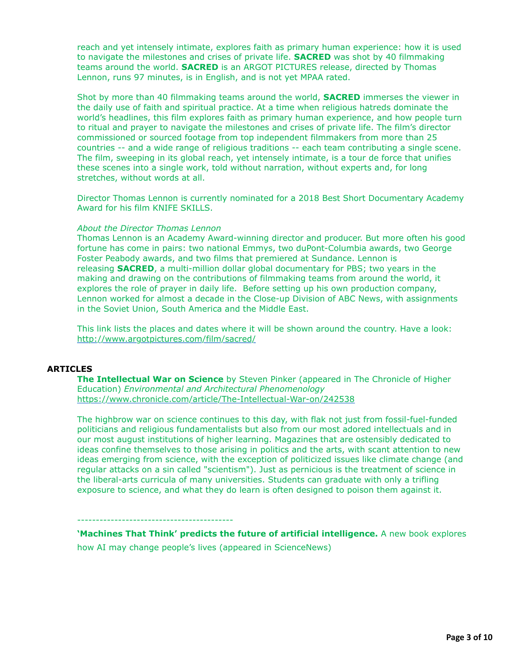reach and yet intensely intimate, explores faith as primary human experience: how it is used to navigate the milestones and crises of private life. **SACRED** was shot by 40 filmmaking teams around the world. **SACRED** is an ARGOT PICTURES release, directed by Thomas Lennon, runs 97 minutes, is in English, and is not yet MPAA rated.

Shot by more than 40 filmmaking teams around the world, **SACRED** immerses the viewer in the daily use of faith and spiritual practice. At a time when religious hatreds dominate the world's headlines, this film explores faith as primary human experience, and how people turn to ritual and prayer to navigate the milestones and crises of private life. The film's director commissioned or sourced footage from top independent filmmakers from more than 25 countries -- and a wide range of religious traditions -- each team contributing a single scene. The film, sweeping in its global reach, yet intensely intimate, is a tour de force that unifies these scenes into a single work, told without narration, without experts and, for long stretches, without words at all.

Director Thomas Lennon is currently nominated for a 2018 Best Short Documentary Academy Award for his film KNIFE SKILLS.

### *About the Director Thomas Lennon*

Thomas Lennon is an Academy Award-winning director and producer. But more often his good fortune has come in pairs: two national Emmys, two duPont-Columbia awards, two George Foster Peabody awards, and two films that premiered at Sundance. Lennon is releasing **SACRED**, a multi-million dollar global documentary for PBS; two years in the making and drawing on the contributions of filmmaking teams from around the world, it explores the role of prayer in daily life. Before setting up his own production company, Lennon worked for almost a decade in the Close-up Division of ABC News, with assignments in the Soviet Union, South America and the Middle East.

This link lists the places and dates where it will be shown around the country. Have a look: <http://www.argotpictures.com/film/sacred/>

## **ARTICLES**

**The Intellectual War on Science** by Steven Pinker (appeared in The Chronicle of Higher Education) *Environmental and Architectural Phenomenology* <https://www.chronicle.com/article/The-Intellectual-War-on/242538>

The highbrow war on science continues to this day, with flak not just from fossil-fuel-funded politicians and religious fundamentalists but also from our most adored intellectuals and in our most august institutions of higher learning. Magazines that are ostensibly dedicated to ideas confine themselves to those arising in politics and the arts, with scant attention to new ideas emerging from science, with the exception of politicized issues like climate change (and regular attacks on a sin called "scientism"). Just as pernicious is the treatment of science in the liberal-arts curricula of many universities. Students can graduate with only a trifling exposure to science, and what they do learn is often designed to poison them against it.

#### ------------------------------------------

**'Machines That Think' predicts the future of artificial intelligence.** A new book explores how AI may change people's lives (appeared in ScienceNews)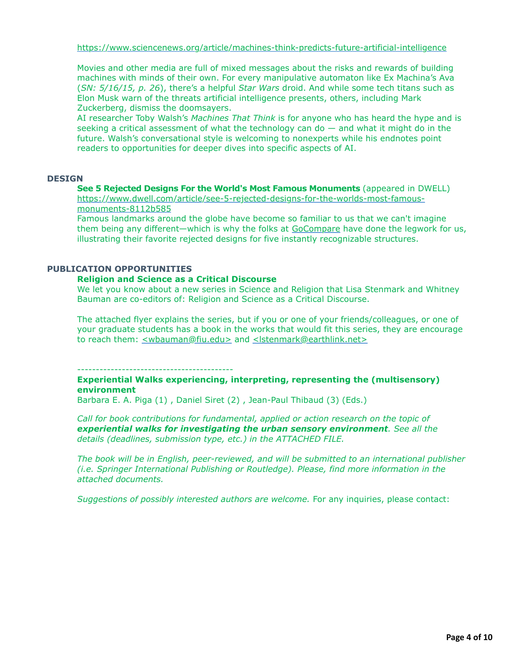<https://www.sciencenews.org/article/machines-think-predicts-future-artificial-intelligence>

Movies and other media are full of mixed messages about the risks and rewards of building machines with minds of their own. For every manipulative automaton like Ex Machina's Ava (*SN: 5/16/15, p. 26*), there's a helpful *Star Wars* droid. And while some tech titans such as Elon Musk warn of the threats artificial intelligence presents, others, including Mark Zuckerberg, dismiss the doomsayers.

AI researcher Toby Walsh's *Machines That Think* is for anyone who has heard the hype and is seeking a critical assessment of what the technology can do — and what it might do in the future. Walsh's conversational style is welcoming to nonexperts while his endnotes point readers to opportunities for deeper dives into specific aspects of AI.

### **DESIGN**

**See 5 Rejected Designs For the World's Most Famous Monuments** (appeared in DWELL) [https://www.dwell.com/article/see-5-rejected-designs-for-the-worlds-most-famous](https://www.dwell.com/article/see-5-rejected-designs-for-the-worlds-most-famous-monuments-8112b585)monuments-8112b585

Famous landmarks around the globe have become so familiar to us that we can't imagine them being any different—which is why the folks at [GoCompare](http://www.gocompare.com/) have done the legwork for us, illustrating their favorite rejected designs for five instantly recognizable structures.

## **PUBLICATION OPPORTUNITIES**

#### **Religion and Science as a Critical Discourse**

We let you know about a new series in Science and Religion that Lisa Stenmark and Whitney Bauman are co-editors of: Religion and Science as a Critical Discourse.

The attached flyer explains the series, but if you or one of your friends/colleagues, or one of your graduate students has a book in the works that would fit this series, they are encourage to reach them: [<wbauman@fiu.edu>](mailto:wbauman@fiu.edu) and [<lstenmark@earthlink.net>](mailto:lstenmark@earthlink.net)

------------------------------------------

## **Experiential Walks experiencing, interpreting, representing the (multisensory) environment**

Barbara E. A. Piga (1) , Daniel Siret (2) , Jean-Paul Thibaud (3) (Eds.)

*Call for book contributions for fundamental, applied or action research on the topic of experiential walks for investigating the urban sensory environment. See all the details (deadlines, submission type, etc.) in the ATTACHED FILE.*

*The book will be in English, peer-reviewed, and will be submitted to an international publisher (i.e. Springer International Publishing or Routledge). Please, find more information in the attached documents.*

*Suggestions of possibly interested authors are welcome.* For any inquiries, please contact: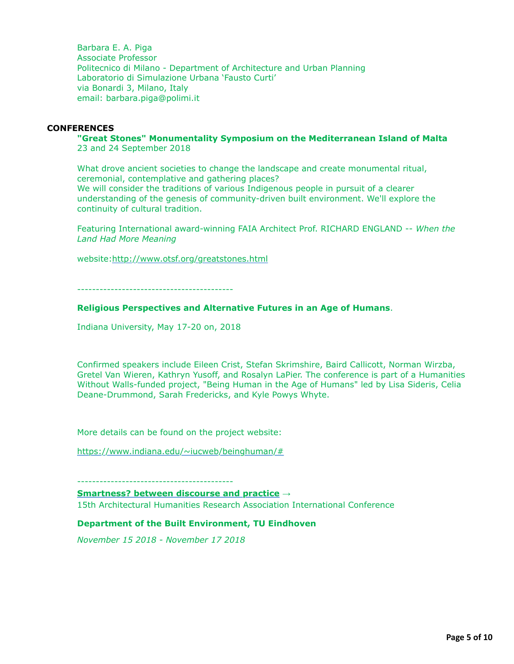Barbara E. A. Piga Associate Professor Politecnico di Milano - Department of Architecture and Urban Planning Laboratorio di Simulazione Urbana 'Fausto Curti' via Bonardi 3, Milano, Italy email: barbara.piga@polimi.it

### **CONFERENCES**

#### **"Great Stones" Monumentality Symposium on the Mediterranean Island of Malta** 23 and 24 September 2018

What drove ancient societies to change the landscape and create monumental ritual, ceremonial, contemplative and gathering places? We will consider the traditions of various Indigenous people in pursuit of a clearer understanding of the genesis of community-driven built environment. We'll explore the continuity of cultural tradition.

Featuring International award-winning FAIA Architect Prof. RICHARD ENGLAND -- *When the Land Had More Meaning*

website:<http://www.otsf.org/greatstones.html>

------------------------------------------

### **Religious Perspectives and Alternative Futures in an Age of Humans**.

Indiana University, May 17-20 on, 2018

Confirmed speakers include Eileen Crist, Stefan Skrimshire, Baird Callicott, Norman Wirzba, Gretel Van Wieren, Kathryn Yusoff, and Rosalyn LaPier. The conference is part of a Humanities Without Walls-funded project, "Being Human in the Age of Humans" led by Lisa Sideris, Celia Deane-Drummond, Sarah Fredericks, and Kyle Powys Whyte.

More details can be found on the project website:

[https://www.indiana.edu/~iucweb/beinghuman/#](https://www.indiana.edu/%7Eiucweb/beinghuman/)

------------------------------------------

**[Smartness? between discourse and practice](http://www.ahra-architecture.org/events/details/smartness_between_discourse_and_practice/)** →

15th Architectural Humanities Research Association International Conference

### **Department of the Built Environment, TU Eindhoven**

*November 15 2018 - November 17 2018*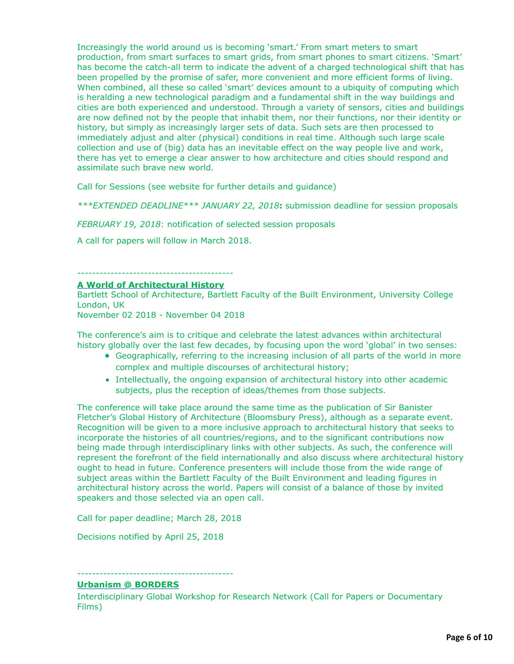Increasingly the world around us is becoming 'smart.' From smart meters to smart production, from smart surfaces to smart grids, from smart phones to smart citizens. 'Smart' has become the catch-all term to indicate the advent of a charged technological shift that has been propelled by the promise of safer, more convenient and more efficient forms of living. When combined, all these so called 'smart' devices amount to a ubiquity of computing which is heralding a new technological paradigm and a fundamental shift in the way buildings and cities are both experienced and understood. Through a variety of sensors, cities and buildings are now defined not by the people that inhabit them, nor their functions, nor their identity or history, but simply as increasingly larger sets of data. Such sets are then processed to immediately adjust and alter (physical) conditions in real time. Although such large scale collection and use of (big) data has an inevitable effect on the way people live and work, there has yet to emerge a clear answer to how architecture and cities should respond and assimilate such brave new world.

Call for Sessions (see website for further details and guidance)

*\*\*\*EXTENDED DEADLINE\*\*\* JANUARY 22, 2018***:** submission deadline for session proposals

*FEBRUARY 19, 2018*: notification of selected session proposals

A call for papers will follow in March 2018.

#### ------------------------------------------

### **[A World of Architectural History](http://www.ahra-architecture.org/events/details/a_world_of_architectural_history/)**

Bartlett School of Architecture, Bartlett Faculty of the Built Environment, University College London, UK November 02 2018 - November 04 2018

The conference's aim is to critique and celebrate the latest advances within architectural history globally over the last few decades, by focusing upon the word 'global' in two senses:

- Geographically, referring to the increasing inclusion of all parts of the world in more complex and multiple discourses of architectural history;
- Intellectually, the ongoing expansion of architectural history into other academic subjects, plus the reception of ideas/themes from those subjects.

The conference will take place around the same time as the publication of Sir Banister Fletcher's Global History of Architecture (Bloomsbury Press), although as a separate event. Recognition will be given to a more inclusive approach to architectural history that seeks to incorporate the histories of all countries/regions, and to the significant contributions now being made through interdisciplinary links with other subjects. As such, the conference will represent the forefront of the field internationally and also discuss where architectural history ought to head in future. Conference presenters will include those from the wide range of subject areas within the Bartlett Faculty of the Built Environment and leading figures in architectural history across the world. Papers will consist of a balance of those by invited speakers and those selected via an open call.

Call for paper deadline; March 28, 2018

Decisions notified by April 25, 2018

## ------------------------------------------

## **[Urbanism @ BORDERS](http://www.ahra-architecture.org/events/details/urbanism_borders/)**

Interdisciplinary Global Workshop for Research Network (Call for Papers or Documentary Films)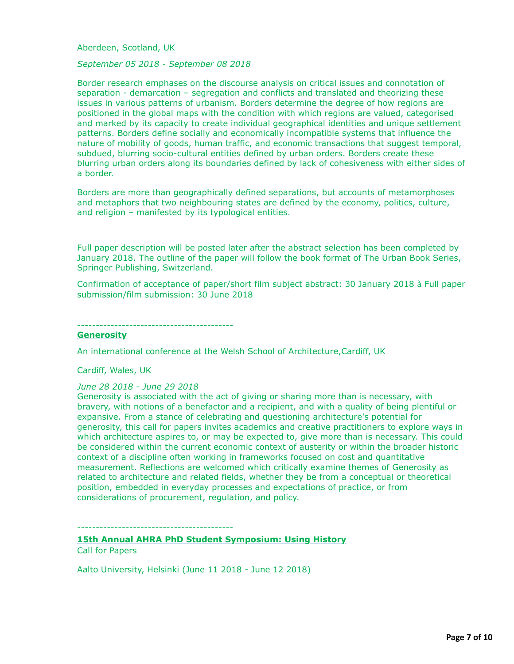Aberdeen, Scotland, UK

*September 05 2018 - September 08 2018*

Border research emphases on the discourse analysis on critical issues and connotation of separation - demarcation – segregation and conflicts and translated and theorizing these issues in various patterns of urbanism. Borders determine the degree of how regions are positioned in the global maps with the condition with which regions are valued, categorised and marked by its capacity to create individual geographical identities and unique settlement patterns. Borders define socially and economically incompatible systems that influence the nature of mobility of goods, human traffic, and economic transactions that suggest temporal, subdued, blurring socio-cultural entities defined by urban orders. Borders create these blurring urban orders along its boundaries defined by lack of cohesiveness with either sides of a border.

Borders are more than geographically defined separations, but accounts of metamorphoses and metaphors that two neighbouring states are defined by the economy, politics, culture, and religion – manifested by its typological entities.

Full paper description will be posted later after the abstract selection has been completed by January 2018. The outline of the paper will follow the book format of The Urban Book Series, Springer Publishing, Switzerland.

Confirmation of acceptance of paper/short film subject abstract: 30 January 2018 à Full paper submission/film submission: 30 June 2018

------------------------------------------

#### **[Generosity](http://www.ahra-architecture.org/events/details/generosity1/)**

An international conference at the Welsh School of Architecture,Cardiff, UK

Cardiff, Wales, UK

#### *June 28 2018 - June 29 2018*

Generosity is associated with the act of giving or sharing more than is necessary, with bravery, with notions of a benefactor and a recipient, and with a quality of being plentiful or expansive. From a stance of celebrating and questioning architecture's potential for generosity, this call for papers invites academics and creative practitioners to explore ways in which architecture aspires to, or may be expected to, give more than is necessary. This could be considered within the current economic context of austerity or within the broader historic context of a discipline often working in frameworks focused on cost and quantitative measurement. Reflections are welcomed which critically examine themes of Generosity as related to architecture and related fields, whether they be from a conceptual or theoretical position, embedded in everyday processes and expectations of practice, or from considerations of procurement, regulation, and policy.

------------------------------------------

**[15th Annual AHRA PhD Student Symposium: Using History](http://www.ahra-architecture.org/events/details/15th_annual_ahra_phd_student_symposium_using_history/)** Call for Papers

Aalto University, Helsinki (June 11 2018 - June 12 2018)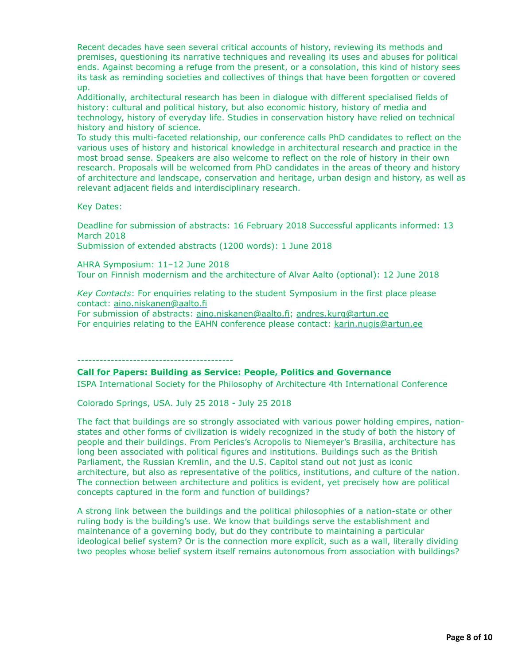Recent decades have seen several critical accounts of history, reviewing its methods and premises, questioning its narrative techniques and revealing its uses and abuses for political ends. Against becoming a refuge from the present, or a consolation, this kind of history sees its task as reminding societies and collectives of things that have been forgotten or covered up.

Additionally, architectural research has been in dialogue with different specialised fields of history: cultural and political history, but also economic history, history of media and technology, history of everyday life. Studies in conservation history have relied on technical history and history of science.

To study this multi-faceted relationship, our conference calls PhD candidates to reflect on the various uses of history and historical knowledge in architectural research and practice in the most broad sense. Speakers are also welcome to reflect on the role of history in their own research. Proposals will be welcomed from PhD candidates in the areas of theory and history of architecture and landscape, conservation and heritage, urban design and history, as well as relevant adjacent fields and interdisciplinary research.

Key Dates:

Deadline for submission of abstracts: 16 February 2018 Successful applicants informed: 13 March 2018

Submission of extended abstracts (1200 words): 1 June 2018

AHRA Symposium: 11–12 June 2018 Tour on Finnish modernism and the architecture of Alvar Aalto (optional): 12 June 2018

*Key Contacts*: For enquiries relating to the student Symposium in the first place please contact: [aino.niskanen@aalto.fi](mailto:aino.niskanen@aalto.fi)

For submission of abstracts: [aino.niskanen@aalto.fi](mailto:aino.niskanen@aalto.fi); [andres.kurg@artun.ee](mailto:andres.kurg@artun.ee) For enquiries relating to the EAHN conference please contact: [karin.nugis@artun.ee](mailto:karin.nugis@artun.ee)

------------------------------------------

## **[Call for Papers: Building as Service: People, Politics and Governance](http://www.ahra-architecture.org/events/details/call_for_papers_building_as_service_people_politics_and_governance/)**

ISPA International Society for the Philosophy of Architecture 4th International Conference

Colorado Springs, USA. July 25 2018 - July 25 2018

The fact that buildings are so strongly associated with various power holding empires, nationstates and other forms of civilization is widely recognized in the study of both the history of people and their buildings. From Pericles's Acropolis to Niemeyer's Brasilia, architecture has long been associated with political figures and institutions. Buildings such as the British Parliament, the Russian Kremlin, and the U.S. Capitol stand out not just as iconic architecture, but also as representative of the politics, institutions, and culture of the nation. The connection between architecture and politics is evident, yet precisely how are political concepts captured in the form and function of buildings?

A strong link between the buildings and the political philosophies of a nation-state or other ruling body is the building's use. We know that buildings serve the establishment and maintenance of a governing body, but do they contribute to maintaining a particular ideological belief system? Or is the connection more explicit, such as a wall, literally dividing two peoples whose belief system itself remains autonomous from association with buildings?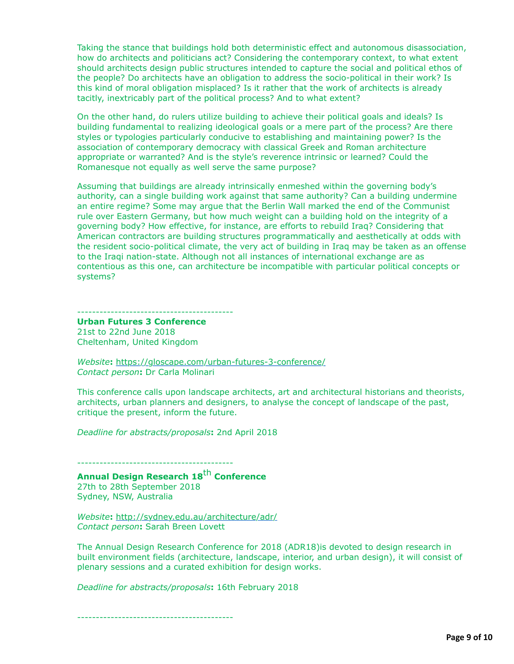Taking the stance that buildings hold both deterministic effect and autonomous disassociation, how do architects and politicians act? Considering the contemporary context, to what extent should architects design public structures intended to capture the social and political ethos of the people? Do architects have an obligation to address the socio-political in their work? Is this kind of moral obligation misplaced? Is it rather that the work of architects is already tacitly, inextricably part of the political process? And to what extent?

On the other hand, do rulers utilize building to achieve their political goals and ideals? Is building fundamental to realizing ideological goals or a mere part of the process? Are there styles or typologies particularly conducive to establishing and maintaining power? Is the association of contemporary democracy with classical Greek and Roman architecture appropriate or warranted? And is the style's reverence intrinsic or learned? Could the Romanesque not equally as well serve the same purpose?

Assuming that buildings are already intrinsically enmeshed within the governing body's authority, can a single building work against that same authority? Can a building undermine an entire regime? Some may argue that the Berlin Wall marked the end of the Communist rule over Eastern Germany, but how much weight can a building hold on the integrity of a governing body? How effective, for instance, are efforts to rebuild Iraq? Considering that American contractors are building structures programmatically and aesthetically at odds with the resident socio-political climate, the very act of building in Iraq may be taken as an offense to the Iraqi nation-state. Although not all instances of international exchange are as contentious as this one, can architecture be incompatible with particular political concepts or systems?

#### ------------------------------------------

**Urban Futures 3 Conference** 21st to 22nd June 2018 Cheltenham, United Kingdom

*Website***:** <https://gloscape.com/urban-futures-3-conference/> *Contact person***:** Dr Carla Molinari

This conference calls upon landscape architects, art and architectural historians and theorists, architects, urban planners and designers, to analyse the concept of landscape of the past, critique the present, inform the future.

*Deadline for abstracts/proposals***:** 2nd April 2018

------------------------------------------

# **Annual Design Research 18**th **Conference**

27th to 28th September 2018 Sydney, NSW, Australia

*Website***:** <http://sydney.edu.au/architecture/adr/> *Contact person***:** Sarah Breen Lovett

The Annual Design Research Conference for 2018 (ADR18)is devoted to design research in built environment fields (architecture, landscape, interior, and urban design), it will consist of plenary sessions and a curated exhibition for design works.

*Deadline for abstracts/proposals***:** 16th February 2018

------------------------------------------